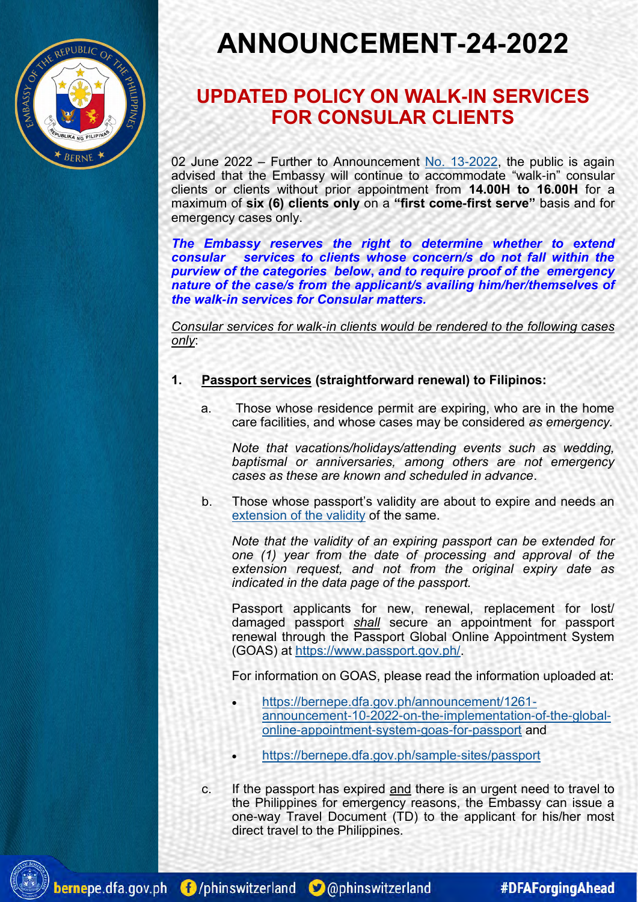

# **ANNOUNCEMENT-24-2022**

### **UPDATED POLICY ON WALK-IN SERVICES FOR CONSULAR CLIENTS**

02 June 2022 – Further to Announcement [No. 13](https://bernepe.dfa.gov.ph/announcement/1266-announcement-no-13-2022-on-walk-in-services-for-consular-clients)-2022, the public is again advised that the Embassy will continue to accommodate "walk-in" consular clients or clients without prior appointment from **14.00H to 16.00H** for a maximum of **six (6) clients only** on a **"first come-first serve"** basis and for emergency cases only.

*The Embassy reserves the right to determine whether to extend consular services to clients whose concern/s do not fall within the purview of the categories below***,** *and to require proof of the emergency nature of the case/s from the applicant/s availing him/her/themselves of the walk-in services for Consular matters.*

*Consular services for walk-in clients would be rendered to the following cases only*:

#### **1. Passport services (straightforward renewal) to Filipinos:**

a. Those whose residence permit are expiring, who are in the home care facilities, and whose cases may be considered *as emergency.*

*Note that vacations/holidays/attending events such as wedding, baptismal or anniversaries, among others are not emergency cases as these are known and scheduled in advance*.

b. Those whose passport's validity are about to expire and needs an [extension of the validity](https://bernepe.dfa.gov.ph/advisories/1248-public-advisory-no-06-2022-extension-of-validity-of-philippine-passports) of the same.

*Note that the validity of an expiring passport can be extended for one (1) year from the date of processing and approval of the extension request, and not from the original expiry date as indicated in the data page of the passport.*

Passport applicants for new, renewal, replacement for lost/ damaged passport *shall* secure an appointment for passport renewal through the Passport Global Online Appointment System (GOAS) at [https://www.passport.gov.ph/.](https://www.passport.gov.ph/)

For information on GOAS, please read the information uploaded at:

- [https://bernepe.dfa.gov.ph/announcement/1261](https://bernepe.dfa.gov.ph/announcement/1261-announcement-10-2022-on-the-implementation-of-the-global-online-appointment-system-goas-for-passport) announcement-10-2022-on-the-[implementation](https://bernepe.dfa.gov.ph/announcement/1261-announcement-10-2022-on-the-implementation-of-the-global-online-appointment-system-goas-for-passport)-of-the-globalonline-[appointment](https://bernepe.dfa.gov.ph/announcement/1261-announcement-10-2022-on-the-implementation-of-the-global-online-appointment-system-goas-for-passport)-system-goas-for-passport and
- [https://bernepe.dfa.gov.ph/sample](https://bernepe.dfa.gov.ph/sample-sites/passport)-sites/passport
- c. If the passport has expired and there is an urgent need to travel to the Philippines for emergency reasons, the Embassy can issue a one-way Travel Document (TD) to the applicant for his/her most direct travel to the Philippines.